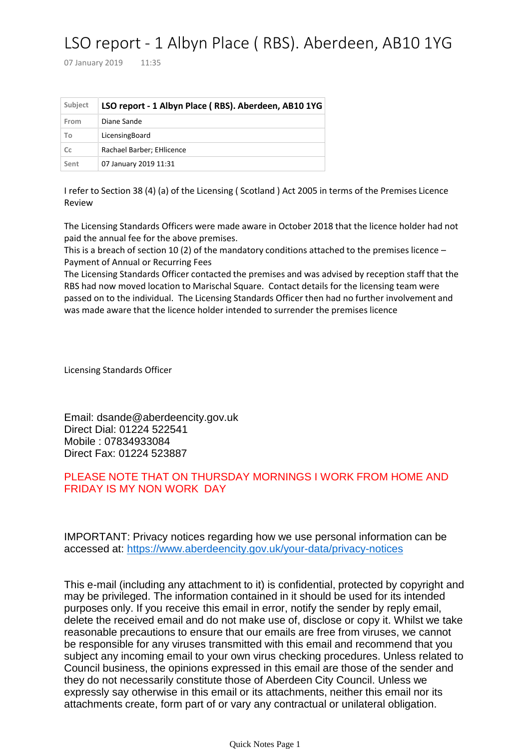## LSO report - 1 Albyn Place ( RBS). Aberdeen, AB10 1YG

07 January 2019 11:35

| Subject | LSO report - 1 Albyn Place (RBS). Aberdeen, AB10 1YG |
|---------|------------------------------------------------------|
| From    | Diane Sande                                          |
| To      | LicensingBoard                                       |
| Cc      | Rachael Barber; EHlicence                            |
| Sent    | 07 January 2019 11:31                                |

I refer to Section 38 (4) (a) of the Licensing ( Scotland ) Act 2005 in terms of the Premises Licence Review

The Licensing Standards Officers were made aware in October 2018 that the licence holder had not paid the annual fee for the above premises.

This is a breach of section 10 (2) of the mandatory conditions attached to the premises licence – Payment of Annual or Recurring Fees

The Licensing Standards Officer contacted the premises and was advised by reception staff that the RBS had now moved location to Marischal Square. Contact details for the licensing team were passed on to the individual. The Licensing Standards Officer then had no further involvement and was made aware that the licence holder intended to surrender the premises licence

Licensing Standards Officer

Email: dsande@aberdeencity.gov.uk Direct Dial: 01224 522541 Mobile : 07834933084 Direct Fax: 01224 523887

## PLEASE NOTE THAT ON THURSDAY MORNINGS I WORK FROM HOME AND FRIDAY IS MY NON WORK DAY

IMPORTANT: Privacy notices regarding how we use personal information can be accessed at: <https://www.aberdeencity.gov.uk/your-data/privacy-notices>

This e-mail (including any attachment to it) is confidential, protected by copyright and may be privileged. The information contained in it should be used for its intended purposes only. If you receive this email in error, notify the sender by reply email, delete the received email and do not make use of, disclose or copy it. Whilst we take reasonable precautions to ensure that our emails are free from viruses, we cannot be responsible for any viruses transmitted with this email and recommend that you subject any incoming email to your own virus checking procedures. Unless related to Council business, the opinions expressed in this email are those of the sender and they do not necessarily constitute those of Aberdeen City Council. Unless we expressly say otherwise in this email or its attachments, neither this email nor its attachments create, form part of or vary any contractual or unilateral obligation.